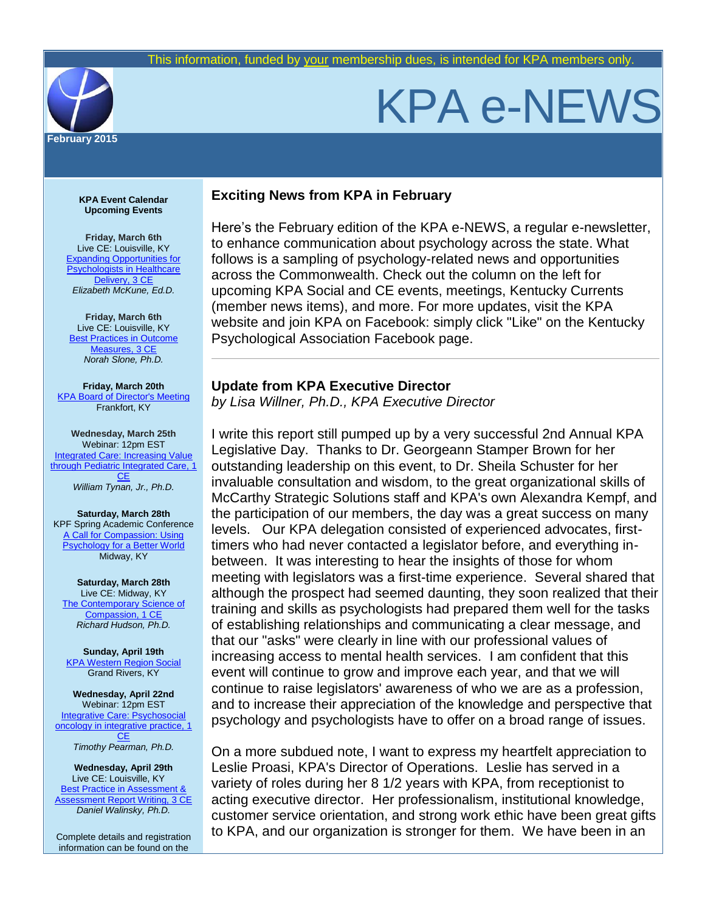

# KPA e-NEWS

**KPA Event Calendar Upcoming Events**

**Friday, March 6th** Live CE: Louisville, KY [Expanding Opportunities for](http://www.kpa.org/link.asp?e=leslie@kpa.org&job=1744677&ymlink=3271918&finalurl=http%3A%2F%2Fwww%2Ekpa%2Eorg%2Fevents%2Fevent%5Fdetails%2Easp%3Fid%3D532402%26group%3D)  **Psychologists in Healthcare** [Delivery, 3 CE](http://www.kpa.org/link.asp?e=leslie@kpa.org&job=1744677&ymlink=3271918&finalurl=http%3A%2F%2Fwww%2Ekpa%2Eorg%2Fevents%2Fevent%5Fdetails%2Easp%3Fid%3D532402%26group%3D) *Elizabeth McKune, Ed.D.*

**Friday, March 6th** Live CE: Louisville, KY **Best Practices in Outcome** [Measures, 3 CE](http://www.kpa.org/link.asp?e=leslie@kpa.org&job=1744677&ymlink=3271918&finalurl=http%3A%2F%2Fwww%2Ekpa%2Eorg%2Fevents%2Fevent%5Fdetails%2Easp%3Fid%3D532418%26group%3D) *Norah Slone, Ph.D.*

**Friday, March 20th** [KPA Board of Director's Meeting](http://www.kpa.org/link.asp?e=leslie@kpa.org&job=1744677&ymlink=3271918&finalurl=http%3A%2F%2Fkpa%2Esite%2Dym%2Ecom%2F%3Fpage%3DBoardofDirectors) Frankfort, KY

**Wednesday, March 25th** Webinar: 12pm EST **Integrated Care: Increasing Value** [through Pediatric Integrated Care, 1](http://www.kpa.org/link.asp?e=leslie@kpa.org&job=1744677&ymlink=3271918&finalurl=http%3A%2F%2Fwww%2Ekpa%2Eorg%2Fevents%2Fevent%5Fdetails%2Easp%3Fid%3D576319%26group%3D)  **[CE](http://www.kpa.org/link.asp?e=leslie@kpa.org&job=1744677&ymlink=3271918&finalurl=http%3A%2F%2Fwww%2Ekpa%2Eorg%2Fevents%2Fevent%5Fdetails%2Easp%3Fid%3D576319%26group%3D)** *William Tynan, Jr., Ph.D.*

**Saturday, March 28th** KPF Spring Academic Conference [A Call for Compassion: Using](http://www.kpa.org/link.asp?e=leslie@kpa.org&job=1744677&ymlink=3271918&finalurl=http%3A%2F%2Fkpa%2Esite%2Dym%2Ecom%2F%3FSAC2015)  **[Psychology for a Better World](http://www.kpa.org/link.asp?e=leslie@kpa.org&job=1744677&ymlink=3271918&finalurl=http%3A%2F%2Fkpa%2Esite%2Dym%2Ecom%2F%3FSAC2015)** Midway, KY

**Saturday, March 28th** Live CE: Midway, KY [The Contemporary Science of](http://www.kpa.org/link.asp?e=leslie@kpa.org&job=1744677&ymlink=3271918&finalurl=http%3A%2F%2Fwww%2Ekpa%2Eorg%2F%3FSACWorkshop)  [Compassion, 1 CE](http://www.kpa.org/link.asp?e=leslie@kpa.org&job=1744677&ymlink=3271918&finalurl=http%3A%2F%2Fwww%2Ekpa%2Eorg%2F%3FSACWorkshop) *Richard Hudson, Ph.D.*

**Sunday, April 19th** [KPA Western Region Social](http://www.kpa.org/link.asp?e=leslie@kpa.org&job=1744677&ymlink=3271918&finalurl=http%3A%2F%2Fkpa%2Esite%2Dym%2Ecom%2Fevents%2Fevent%5Fdetails%2Easp%3Fid%3D590364%26group%3D) Grand Rivers, KY

**Wednesday, April 22nd** Webinar: 12pm EST Integrative Care: Psychosocial [oncology in integrative practice, 1](http://www.kpa.org/link.asp?e=leslie@kpa.org&job=1744677&ymlink=3271918&finalurl=http%3A%2F%2Fkpa%2Esite%2Dym%2Ecom%2Fevents%2Fevent%5Fdetails%2Easp%3Fid%3D576340%26group%3D)  **[CE](http://www.kpa.org/link.asp?e=leslie@kpa.org&job=1744677&ymlink=3271918&finalurl=http%3A%2F%2Fkpa%2Esite%2Dym%2Ecom%2Fevents%2Fevent%5Fdetails%2Easp%3Fid%3D576340%26group%3D)** 

*Timothy Pearman, Ph.D.*

**Wednesday, April 29th** Live CE: Louisville, KY **Best Practice in Assessment &** [Assessment Report Writing, 3 CE](http://www.kpa.org/link.asp?e=leslie@kpa.org&job=1744677&ymlink=3271918&finalurl=http%3A%2F%2Fkpa%2Esite%2Dym%2Ecom%2Fevents%2Fevent%5Fdetails%2Easp%3Fid%3D583271%26group%3D) *Daniel Walinsky, Ph.D.* 

Complete details and registration information can be found on the

## **Exciting News from KPA in February**

Here's the February edition of the KPA e-NEWS, a regular e-newsletter, to enhance communication about psychology across the state. What follows is a sampling of psychology-related news and opportunities across the Commonwealth. Check out the column on the left for upcoming KPA Social and CE events, meetings, Kentucky Currents (member news items), and more. For more updates, visit the KPA website and join KPA on Facebook: simply click "Like" on the Kentucky Psychological Association Facebook page.

## **Update from KPA Executive Director**

*by Lisa Willner, Ph.D., KPA Executive Director*

I write this report still pumped up by a very successful 2nd Annual KPA Legislative Day. Thanks to Dr. Georgeann Stamper Brown for her outstanding leadership on this event, to Dr. Sheila Schuster for her invaluable consultation and wisdom, to the great organizational skills of McCarthy Strategic Solutions staff and KPA's own Alexandra Kempf, and the participation of our members, the day was a great success on many levels. Our KPA delegation consisted of experienced advocates, firsttimers who had never contacted a legislator before, and everything inbetween. It was interesting to hear the insights of those for whom meeting with legislators was a first-time experience. Several shared that although the prospect had seemed daunting, they soon realized that their training and skills as psychologists had prepared them well for the tasks of establishing relationships and communicating a clear message, and that our "asks" were clearly in line with our professional values of increasing access to mental health services. I am confident that this event will continue to grow and improve each year, and that we will continue to raise legislators' awareness of who we are as a profession, and to increase their appreciation of the knowledge and perspective that psychology and psychologists have to offer on a broad range of issues.

On a more subdued note, I want to express my heartfelt appreciation to Leslie Proasi, KPA's Director of Operations. Leslie has served in a variety of roles during her 8 1/2 years with KPA, from receptionist to acting executive director. Her professionalism, institutional knowledge, customer service orientation, and strong work ethic have been great gifts to KPA, and our organization is stronger for them. We have been in an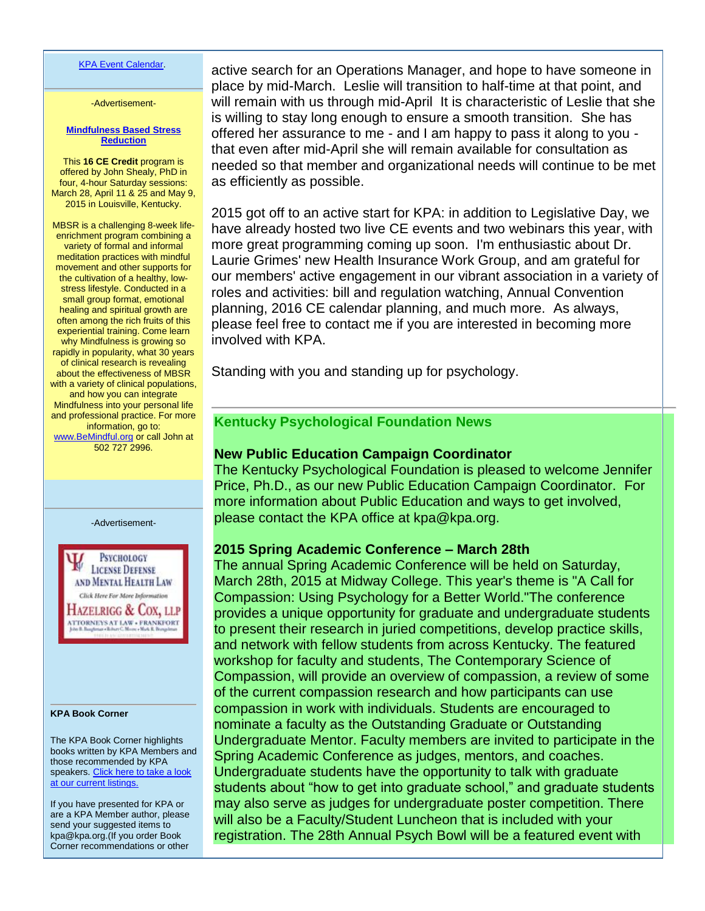#### [KPA Event Calendar.](http://www.kpa.org/link.asp?e=leslie@kpa.org&job=1744677&ymlink=3271918&finalurl=http%3A%2F%2Fwww%2Ekpa%2Eorg%2Fevents%2Fevent%5Flist%2Easp)

-Advertisement-

#### **[Mindfulness Based Stress](http://www.kpa.org/link.asp?e=leslie@kpa.org&job=1744677&ymlink=3271918&finalurl=https%3A%2F%2Fkpa%2Esite%2Dym%2Ecom%2Fresource%2Fresmgr%2FCE%2FFlyerMBSR%5FNov%2DMarch2015%2Epdf)  [Reduction](http://www.kpa.org/link.asp?e=leslie@kpa.org&job=1744677&ymlink=3271918&finalurl=https%3A%2F%2Fkpa%2Esite%2Dym%2Ecom%2Fresource%2Fresmgr%2FCE%2FFlyerMBSR%5FNov%2DMarch2015%2Epdf)**

This **16 CE Credit** program is offered by John Shealy, PhD in four, 4-hour Saturday sessions: March 28, April 11 & 25 and May 9, 2015 in Louisville, Kentucky.

MBSR is a challenging 8-week lifeenrichment program combining a variety of formal and informal meditation practices with mindful movement and other supports for the cultivation of a healthy, lowstress lifestyle. Conducted in a small group format, emotional healing and spiritual growth are often among the rich fruits of this experiential training. Come learn why Mindfulness is growing so rapidly in popularity, what 30 years of clinical research is revealing about the effectiveness of MBSR with a variety of clinical populations, and how you can integrate Mindfulness into your personal life and professional practice. For more information, go to: [www.BeMindful.org](http://www.kpa.org/link.asp?e=leslie@kpa.org&job=1744677&ymlink=3271918&finalurl=http%3A%2F%2Fwww%2EBeMindful%2Eorg) or call John at 502 727 2996.

-Advertisement-



#### **KPA Book Corner**

The KPA Book Corner highlights books written by KPA Members and those recommended by KPA speakers. Click here to take a look [at our current listings.](http://www.kpa.org/link.asp?e=dr.sean.reilley@gmail.com&job=1171413&e=leslie@kpa.org&job=1744677&ymlink=1933434&finalurl=http%3A%2F%2Fwww%2Ekpa%2Eorg%2F%3F477)

If you have presented for KPA or are a KPA Member author, please send your suggested items to kpa@kpa.org.(If you order Book Corner recommendations or other active search for an Operations Manager, and hope to have someone in place by mid-March. Leslie will transition to half-time at that point, and will remain with us through mid-April It is characteristic of Leslie that she is willing to stay long enough to ensure a smooth transition. She has offered her assurance to me - and I am happy to pass it along to you that even after mid-April she will remain available for consultation as needed so that member and organizational needs will continue to be met as efficiently as possible.

2015 got off to an active start for KPA: in addition to Legislative Day, we have already hosted two live CE events and two webinars this year, with more great programming coming up soon. I'm enthusiastic about Dr. Laurie Grimes' new Health Insurance Work Group, and am grateful for our members' active engagement in our vibrant association in a variety of roles and activities: bill and regulation watching, Annual Convention planning, 2016 CE calendar planning, and much more. As always, please feel free to contact me if you are interested in becoming more involved with KPA.

Standing with you and standing up for psychology.

# **Kentucky Psychological Foundation News**

## **New Public Education Campaign Coordinator**

The Kentucky Psychological Foundation is pleased to welcome Jennifer Price, Ph.D., as our new Public Education Campaign Coordinator. For more information about Public Education and ways to get involved, please contact the KPA office at kpa@kpa.org.

## **2015 Spring Academic Conference – March 28th**

The annual Spring Academic Conference will be held on Saturday, March 28th, 2015 at Midway College. This year's theme is "A Call for Compassion: Using Psychology for a Better World."The conference provides a unique opportunity for graduate and undergraduate students to present their research in juried competitions, develop practice skills, and network with fellow students from across Kentucky. The featured workshop for faculty and students, The Contemporary Science of Compassion, will provide an overview of compassion, a review of some of the current compassion research and how participants can use compassion in work with individuals. Students are encouraged to nominate a faculty as the Outstanding Graduate or Outstanding Undergraduate Mentor. Faculty members are invited to participate in the Spring Academic Conference as judges, mentors, and coaches. Undergraduate students have the opportunity to talk with graduate students about "how to get into graduate school," and graduate students may also serve as judges for undergraduate poster competition. There will also be a Faculty/Student Luncheon that is included with your registration. The 28th Annual Psych Bowl will be a featured event with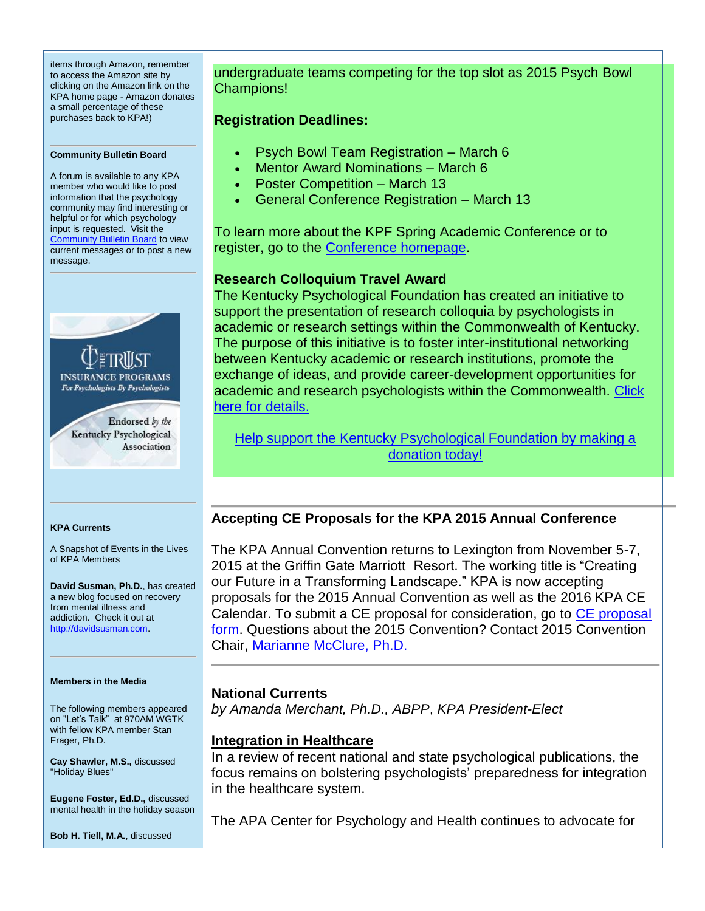items through Amazon, remember to access the Amazon site by clicking on the Amazon link on the KPA home page - Amazon donates a small percentage of these purchases back to KPA!)

#### **Community Bulletin Board**

A forum is available to any KPA member who would like to post information that the psychology community may find interesting or helpful or for which psychology input is requested. Visit the **[Community Bulletin Board](http://www.kpa.org/link.asp?e=leslie@kpa.org&job=1744677&ymlink=3271918&finalurl=http%3A%2F%2Fkpa%2Esite%2Dym%2Ecom%2Fforums%2F) to view** current messages or to post a new message.



#### **KPA Currents**

A Snapshot of Events in the Lives of KPA Members

**David Susman, Ph.D.**, has created a new blog focused on recovery from mental illness and addiction. Check it out at [http://davidsusman.com.](http://www.kpa.org/link.asp?e=leslie@kpa.org&job=1744677&ymlink=3271918&finalurl=http%3A%2F%2Fdavidsusman%2Ecom)

#### **Members in the Media**

The following members appeared on "Let's Talk" at 970AM WGTK with fellow KPA member Stan Frager, Ph.D.

**Cay Shawler, M.S.,** discussed "Holiday Blues"

**Eugene Foster, Ed.D.,** discussed mental health in the holiday season

**Bob H. Tiell, M.A.**, discussed

undergraduate teams competing for the top slot as 2015 Psych Bowl Champions!

#### **Registration Deadlines:**

- Psych Bowl Team Registration March 6
- Mentor Award Nominations March 6
- Poster Competition March 13
- General Conference Registration March 13

To learn more about the KPF Spring Academic Conference or to register, go to the [Conference homepage.](http://www.kpa.org/link.asp?e=leslie@kpa.org&job=1744677&ymlink=3271918&finalurl=https%3A%2F%2Fkpa%2Esite%2Dym%2Ecom%2F%3FSAC2015)

## **Research Colloquium Travel Award**

The Kentucky Psychological Foundation has created an initiative to support the presentation of research colloquia by psychologists in academic or research settings within the Commonwealth of Kentucky. The purpose of this initiative is to foster inter-institutional networking between Kentucky academic or research institutions, promote the exchange of ideas, and provide career-development opportunities for academic and research psychologists within the Commonwealth. [Click](http://www.kpa.org/link.asp?e=leslie@kpa.org&job=1744677&ymlink=3271918&finalurl=http%3A%2F%2Fkpa%2Esite%2Dym%2Ecom%2F%3F638)  [here for](http://www.kpa.org/link.asp?e=leslie@kpa.org&job=1744677&ymlink=3271918&finalurl=http%3A%2F%2Fkpa%2Esite%2Dym%2Ecom%2F%3F638) details.

[Help support the Kentucky Psychological Foundation by making a](http://www.kpa.org/link.asp?e=leslie@kpa.org&job=1744677&ymlink=3271918&finalurl=http%3A%2F%2Fkpa%2Esite%2Dym%2Ecom%2Fdonations%2F)  [donation today!](http://www.kpa.org/link.asp?e=leslie@kpa.org&job=1744677&ymlink=3271918&finalurl=http%3A%2F%2Fkpa%2Esite%2Dym%2Ecom%2Fdonations%2F)

## **Accepting CE Proposals for the KPA 2015 Annual Conference**

The KPA Annual Convention returns to Lexington from November 5-7, 2015 at the Griffin Gate Marriott Resort. The working title is "Creating our Future in a Transforming Landscape." KPA is now accepting proposals for the 2015 Annual Convention as well as the 2016 KPA CE Calendar. To submit a [CE proposal](http://www.kpa.org/link.asp?e=leslie@kpa.org&job=1744677&ymlink=3271918&finalurl=https%3A%2F%2Fkpa%2Esite%2Dym%2Ecom%2F%3Fpage%3DCEOpenCall) for consideration, go to CE proposal [form.](http://www.kpa.org/link.asp?e=leslie@kpa.org&job=1744677&ymlink=3271918&finalurl=https%3A%2F%2Fkpa%2Esite%2Dym%2Ecom%2F%3Fpage%3DCEOpenCall) Questions about the 2015 Convention? Contact 2015 Convention Chair, [Marianne McClure, Ph.D.](mailto:mmcclure2002@yahoo.com)

## **National Currents**

*by Amanda Merchant, Ph.D., ABPP*, *KPA President-Elect*

## **Integration in Healthcare**

In a review of recent national and state psychological publications, the focus remains on bolstering psychologists' preparedness for integration in the healthcare system.

The APA Center for Psychology and Health continues to advocate for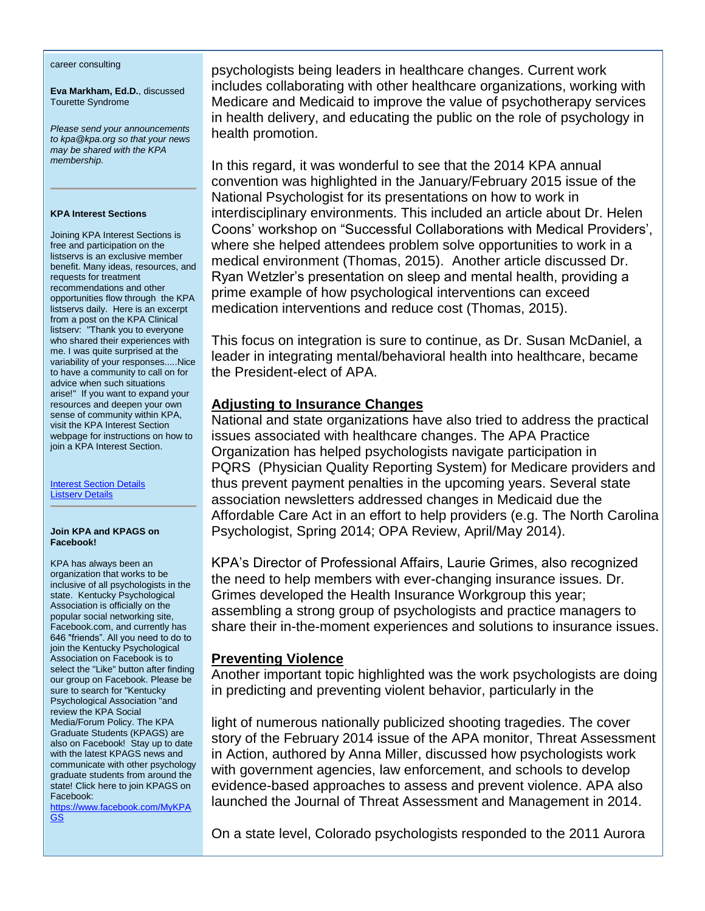#### career consulting

**Eva Markham, Ed.D.**, discussed Tourette Syndrome

*Please send your announcements to kpa@kpa.org so that your news may be shared with the KPA membership.* 

#### **KPA Interest Sections**

Joining KPA Interest Sections is free and participation on the listservs is an exclusive member benefit. Many ideas, resources, and requests for treatment recommendations and other opportunities flow through the KPA listservs daily. Here is an excerpt from a post on the KPA Clinical listserv: "Thank you to everyone who shared their experiences with me. I was quite surprised at the variability of your responses.....Nice to have a community to call on for advice when such situations arise!" If you want to expand your resources and deepen your own sense of community within KPA, visit the KPA Interest Section webpage for instructions on how to join a KPA Interest Section.

[Interest Section Details](http://www.kpa.org/link.asp?e=leslie@kpa.org&job=1744677&ymlink=3271918&finalurl=http%3A%2F%2Fwww%2Ekpa%2Eorg%2F%3F522)  [Listserv Details](http://www.kpa.org/link.asp?e=leslie@kpa.org&job=1744677&ymlink=3271918&finalurl=http%3A%2F%2Fwww%2Ekpa%2Eorg%2F%3Fpage%3DListservTransition)

#### **Join KPA and KPAGS on Facebook!**

KPA has always been an organization that works to be inclusive of all psychologists in the state. Kentucky Psychological Association is officially on the popular social networking site, Facebook.com, and currently has 646 "friends". All you need to do to join the Kentucky Psychological Association on Facebook is to select the "Like" button after finding our group on Facebook. Please be sure to search for "Kentucky Psychological Association "and review the KPA Social Media/Forum Policy. The KPA Graduate Students (KPAGS) are also on Facebook! Stay up to date with the latest KPAGS news and communicate with other psychology graduate students from around the state! Click here to join KPAGS on Facebook:

[https://www.facebook.com/MyKPA](http://www.kpa.org/link.asp?e=leslie@kpa.org&job=1744677&ymlink=3271918&finalurl=https%3A%2F%2Fwww%2Efacebook%2Ecom%2FMyKPAGS) [GS](http://www.kpa.org/link.asp?e=leslie@kpa.org&job=1744677&ymlink=3271918&finalurl=https%3A%2F%2Fwww%2Efacebook%2Ecom%2FMyKPAGS)

psychologists being leaders in healthcare changes. Current work includes collaborating with other healthcare organizations, working with Medicare and Medicaid to improve the value of psychotherapy services in health delivery, and educating the public on the role of psychology in health promotion.

In this regard, it was wonderful to see that the 2014 KPA annual convention was highlighted in the January/February 2015 issue of the National Psychologist for its presentations on how to work in interdisciplinary environments. This included an article about Dr. Helen Coons' workshop on "Successful Collaborations with Medical Providers', where she helped attendees problem solve opportunities to work in a medical environment (Thomas, 2015). Another article discussed Dr. Ryan Wetzler's presentation on sleep and mental health, providing a prime example of how psychological interventions can exceed medication interventions and reduce cost (Thomas, 2015).

This focus on integration is sure to continue, as Dr. Susan McDaniel, a leader in integrating mental/behavioral health into healthcare, became the President-elect of APA.

## **Adjusting to Insurance Changes**

National and state organizations have also tried to address the practical issues associated with healthcare changes. The APA Practice Organization has helped psychologists navigate participation in PQRS (Physician Quality Reporting System) for Medicare providers and thus prevent payment penalties in the upcoming years. Several state association newsletters addressed changes in Medicaid due the Affordable Care Act in an effort to help providers (e.g. The North Carolina Psychologist, Spring 2014; OPA Review, April/May 2014).

KPA's Director of Professional Affairs, Laurie Grimes, also recognized the need to help members with ever-changing insurance issues. Dr. Grimes developed the Health Insurance Workgroup this year; assembling a strong group of psychologists and practice managers to share their in-the-moment experiences and solutions to insurance issues.

## **Preventing Violence**

Another important topic highlighted was the work psychologists are doing in predicting and preventing violent behavior, particularly in the

light of numerous nationally publicized shooting tragedies. The cover story of the February 2014 issue of the APA monitor, Threat Assessment in Action, authored by Anna Miller, discussed how psychologists work with government agencies, law enforcement, and schools to develop evidence-based approaches to assess and prevent violence. APA also launched the Journal of Threat Assessment and Management in 2014.

On a state level, Colorado psychologists responded to the 2011 Aurora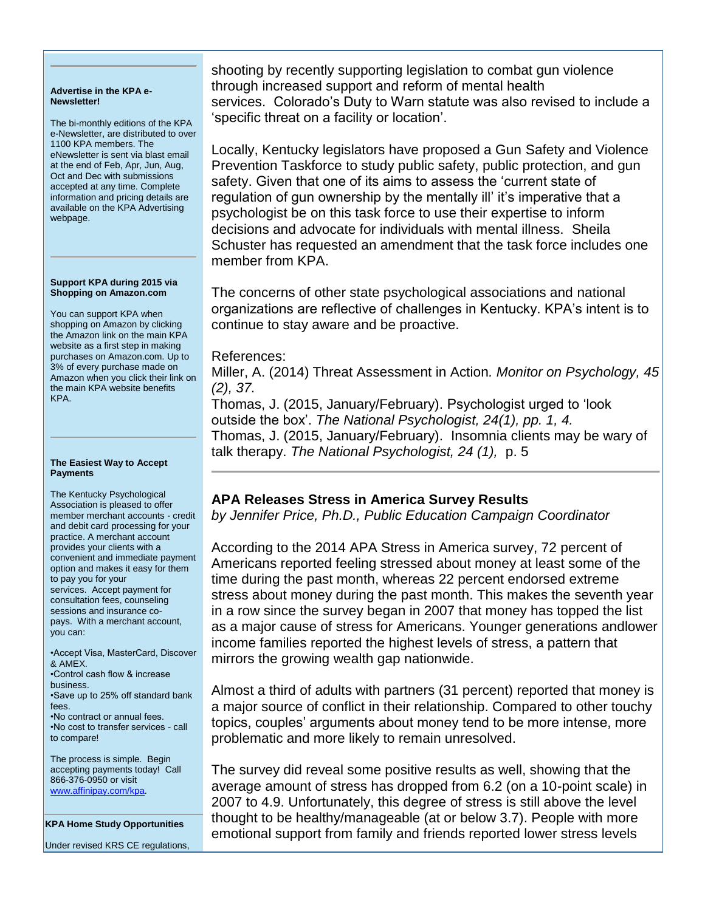#### **Advertise in the KPA e-Newsletter!**

The bi-monthly editions of the KPA e-Newsletter, are distributed to over 1100 KPA members. The eNewsletter is sent via blast email at the end of Feb, Apr, Jun, Aug, Oct and Dec with submissions accepted at any time. Complete information and pricing details are available on the KPA Advertising webpage.

#### **Support KPA during 2015 via Shopping on Amazon.com**

You can support KPA when shopping on Amazon by clicking the Amazon link on the main KPA website as a first step in making purchases on Amazon.com. Up to 3% of every purchase made on Amazon when you click their link on the main KPA website benefits KPA.

#### **The Easiest Way to Accept Payments**

The Kentucky Psychological Association is pleased to offer member merchant accounts - credit and debit card processing for your practice. A merchant account provides your clients with a convenient and immediate payment option and makes it easy for them to pay you for your services. Accept payment for consultation fees, counseling sessions and insurance copays. With a merchant account, you can:

•Accept Visa, MasterCard, Discover & AMEX. •Control cash flow & increase business. •Save up to 25% off standard bank fees. •No contract or annual fees. •No cost to transfer services - call to compare!

The process is simple. Begin accepting payments today! Call 866-376-0950 or visit [www.affinipay.com/kpa.](http://www.kpa.org/link.asp?e=leslie@kpa.org&job=1744677&ymlink=3271918&finalurl=http%3A%2F%2Fwww%2Eaffinipay%2Ecom%2Fkpa) 

**KPA Home Study Opportunities**

Under revised KRS CE regulations,

shooting by recently supporting legislation to combat gun violence through increased support and reform of mental health services. Colorado's Duty to Warn statute was also revised to include a 'specific threat on a facility or location'.

Locally, Kentucky legislators have proposed a Gun Safety and Violence Prevention Taskforce to study public safety, public protection, and gun safety. Given that one of its aims to assess the 'current state of regulation of gun ownership by the mentally ill' it's imperative that a psychologist be on this task force to use their expertise to inform decisions and advocate for individuals with mental illness. Sheila Schuster has requested an amendment that the task force includes one member from KPA.

The concerns of other state psychological associations and national organizations are reflective of challenges in Kentucky. KPA's intent is to continue to stay aware and be proactive.

## References:

Miller, A. (2014) Threat Assessment in Action*. Monitor on Psychology, 45 (2), 37.*

Thomas, J. (2015, January/February). Psychologist urged to 'look outside the box'. *The National Psychologist, 24(1), pp. 1, 4.* Thomas, J. (2015, January/February). Insomnia clients may be wary of talk therapy. *The National Psychologist, 24 (1),* p. 5

# **APA Releases Stress in America Survey Results**

*by Jennifer Price, Ph.D., Public Education Campaign Coordinator*

According to the 2014 APA Stress in America survey, 72 percent of Americans reported feeling stressed about money at least some of the time during the past month, whereas 22 percent endorsed extreme stress about money during the past month. This makes the seventh year in a row since the survey began in 2007 that money has topped the list as a major cause of stress for Americans. Younger generations andlower income families reported the highest levels of stress, a pattern that mirrors the growing wealth gap nationwide.

Almost a third of adults with partners (31 percent) reported that money is a major source of conflict in their relationship. Compared to other touchy topics, couples' arguments about money tend to be more intense, more problematic and more likely to remain unresolved.

The survey did reveal some positive results as well, showing that the average amount of stress has dropped from 6.2 (on a 10-point scale) in 2007 to 4.9. Unfortunately, this degree of stress is still above the level thought to be healthy/manageable (at or below 3.7). People with more emotional support from family and friends reported lower stress levels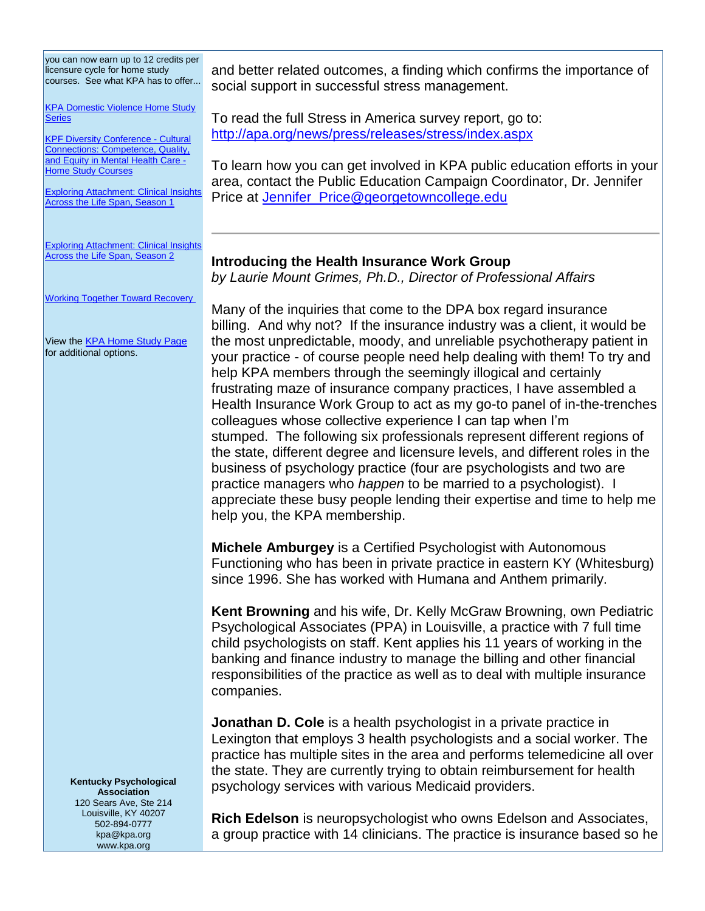you can now earn up to 12 credits per licensure cycle for home study courses. See what KPA has to offer...

[KPA Domestic Violence Home Study](http://www.kpa.org/link.asp?e=leslie@kpa.org&job=1744677&ymlink=3271918&finalurl=http%3A%2F%2Fwww%2Ekpa%2Eorg%2Fdisplaycommon%2Ecfm%3Fan%3D1%26subarticlenbr%3D505)  **[Series](http://www.kpa.org/link.asp?e=leslie@kpa.org&job=1744677&ymlink=3271918&finalurl=http%3A%2F%2Fwww%2Ekpa%2Eorg%2Fdisplaycommon%2Ecfm%3Fan%3D1%26subarticlenbr%3D505)** 

[KPF Diversity Conference -](http://www.kpa.org/link.asp?e=leslie@kpa.org&job=1744677&ymlink=3271918&finalurl=http%3A%2F%2Fwww%2Ekpa%2Eorg%2Fdisplaycommon%2Ecfm%3Fan%3D1%26subarticlenbr%3D606) Cultural [Connections: Competence, Quality,](http://www.kpa.org/link.asp?e=leslie@kpa.org&job=1744677&ymlink=3271918&finalurl=http%3A%2F%2Fwww%2Ekpa%2Eorg%2Fdisplaycommon%2Ecfm%3Fan%3D1%26subarticlenbr%3D606)  [and Equity in Mental Health Care -](http://www.kpa.org/link.asp?e=leslie@kpa.org&job=1744677&ymlink=3271918&finalurl=http%3A%2F%2Fwww%2Ekpa%2Eorg%2Fdisplaycommon%2Ecfm%3Fan%3D1%26subarticlenbr%3D606) **[Home Study Courses](http://www.kpa.org/link.asp?e=leslie@kpa.org&job=1744677&ymlink=3271918&finalurl=http%3A%2F%2Fwww%2Ekpa%2Eorg%2Fdisplaycommon%2Ecfm%3Fan%3D1%26subarticlenbr%3D606)** 

[Exploring Attachment: Clinical Insights](http://www.kpa.org/link.asp?e=leslie@kpa.org&job=1744677&ymlink=3271918&finalurl=http%3A%2F%2Fwww%2Ekpa%2Eorg%2F%3Fpage%3D688)  [Across the Life Span, Season 1](http://www.kpa.org/link.asp?e=leslie@kpa.org&job=1744677&ymlink=3271918&finalurl=http%3A%2F%2Fwww%2Ekpa%2Eorg%2F%3Fpage%3D688)

**Exploring Attachment: Clinical Insights** [Across the Life Span, Season 2](http://www.kpa.org/link.asp?e=leslie@kpa.org&job=1744677&ymlink=3271918&finalurl=https%3A%2F%2Fkpa%2Esite%2Dym%2Ecom%2F%3FAttachment%5FS2)

[Working Together Toward Recovery](http://www.kpa.org/link.asp?e=leslie@kpa.org&job=1744677&ymlink=3271918&finalurl=http%3A%2F%2Fwww%2Ekpa%2Eorg%2Fdisplaycommon%2Ecfm%3Fan%3D1%26subarticlenbr%3D633)

View the **KPA Home Study Page** for additional options.

and better related outcomes, a finding which confirms the importance of social support in successful stress management.

To read the full Stress in America survey report, go to: [http://apa.org/news/press/releases/stress/index.aspx](http://www.kpa.org/link.asp?e=leslie@kpa.org&job=1744677&ymlink=3271918&finalurl=http%3A%2F%2Fapa%2Eorg%2Fnews%2Fpress%2Freleases%2Fstress%2Findex%2Easpx)

To learn how you can get involved in KPA public education efforts in your area, contact the Public Education Campaign Coordinator, Dr. Jennifer Price at [Jennifer\\_Price@georgetowncollege.edu](mailto:Jennifer_Price@georgetowncollege.edu)

# **Introducing the Health Insurance Work Group**

*by Laurie Mount Grimes, Ph.D., Director of Professional Affairs*

Many of the inquiries that come to the DPA box regard insurance billing. And why not? If the insurance industry was a client, it would be the most unpredictable, moody, and unreliable psychotherapy patient in your practice - of course people need help dealing with them! To try and help KPA members through the seemingly illogical and certainly frustrating maze of insurance company practices, I have assembled a Health Insurance Work Group to act as my go-to panel of in-the-trenches colleagues whose collective experience I can tap when I'm stumped. The following six professionals represent different regions of the state, different degree and licensure levels, and different roles in the business of psychology practice (four are psychologists and two are practice managers who *happen* to be married to a psychologist). I appreciate these busy people lending their expertise and time to help me help you, the KPA membership.

**Michele Amburgey** is a Certified Psychologist with Autonomous Functioning who has been in private practice in eastern KY (Whitesburg) since 1996. She has worked with Humana and Anthem primarily.

**Kent Browning** and his wife, Dr. Kelly McGraw Browning, own Pediatric Psychological Associates (PPA) in Louisville, a practice with 7 full time child psychologists on staff. Kent applies his 11 years of working in the banking and finance industry to manage the billing and other financial responsibilities of the practice as well as to deal with multiple insurance companies.

**Jonathan D. Cole** is a health psychologist in a private practice in Lexington that employs 3 health psychologists and a social worker. The practice has multiple sites in the area and performs telemedicine all over the state. They are currently trying to obtain reimbursement for health psychology services with various Medicaid providers.

**Kentucky Psychological Association** 120 Sears Ave, Ste 214 Louisville, KY 40207 502-894-0777 kpa@kpa.org www.kpa.org

**Rich Edelson** is neuropsychologist who owns Edelson and Associates, a group practice with 14 clinicians. The practice is insurance based so he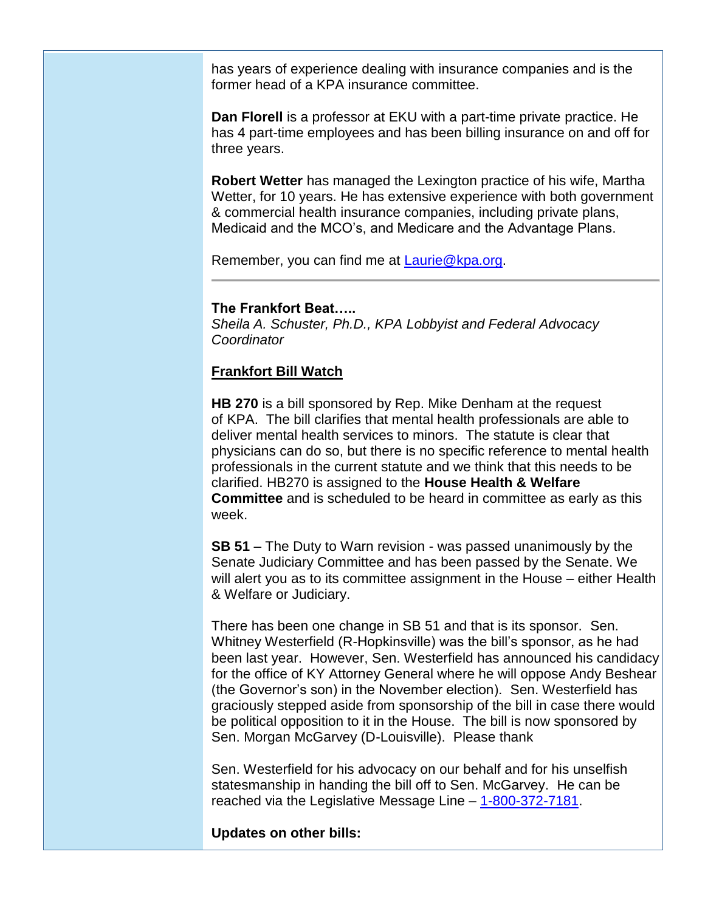has years of experience dealing with insurance companies and is the former head of a KPA insurance committee.

**Dan Florell** is a professor at EKU with a part-time private practice. He has 4 part-time employees and has been billing insurance on and off for three years.

**Robert Wetter** has managed the Lexington practice of his wife, Martha Wetter, for 10 years. He has extensive experience with both government & commercial health insurance companies, including private plans, Medicaid and the MCO's, and Medicare and the Advantage Plans.

Remember, you can find me at [Laurie@kpa.org.](mailto:Laurie@kpa.org)

# **The Frankfort Beat…..**

*Sheila A. Schuster, Ph.D., KPA Lobbyist and Federal Advocacy Coordinator*

# **Frankfort Bill Watch**

**HB 270** is a bill sponsored by Rep. Mike Denham at the request of KPA. The bill clarifies that mental health professionals are able to deliver mental health services to minors. The statute is clear that physicians can do so, but there is no specific reference to mental health professionals in the current statute and we think that this needs to be clarified. HB270 is assigned to the **House Health & Welfare Committee** and is scheduled to be heard in committee as early as this week.

**SB 51** – The Duty to Warn revision - was passed unanimously by the Senate Judiciary Committee and has been passed by the Senate. We will alert you as to its committee assignment in the House – either Health & Welfare or Judiciary.

There has been one change in SB 51 and that is its sponsor. Sen. Whitney Westerfield (R-Hopkinsville) was the bill's sponsor, as he had been last year. However, Sen. Westerfield has announced his candidacy for the office of KY Attorney General where he will oppose Andy Beshear (the Governor's son) in the November election). Sen. Westerfield has graciously stepped aside from sponsorship of the bill in case there would be political opposition to it in the House. The bill is now sponsored by Sen. Morgan McGarvey (D-Louisville). Please thank

Sen. Westerfield for his advocacy on our behalf and for his unselfish statesmanship in handing the bill off to Sen. McGarvey. He can be reached via the Legislative Message Line – [1-800-372-7181.](tel:1-800-372-7181)

**Updates on other bills:**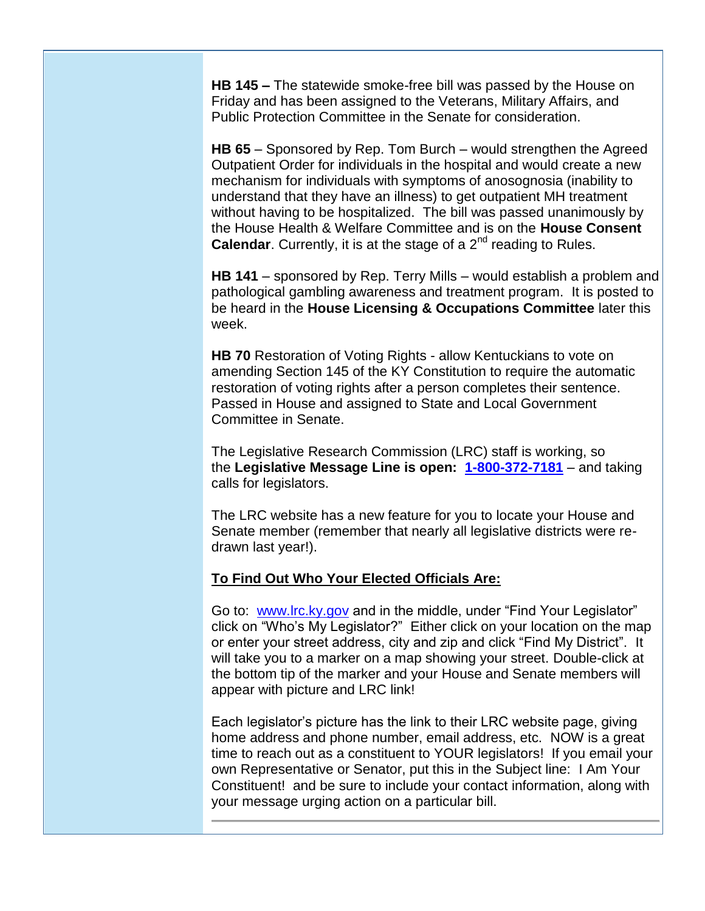**HB 145 –** The statewide smoke-free bill was passed by the House on Friday and has been assigned to the Veterans, Military Affairs, and Public Protection Committee in the Senate for consideration.

**HB 65** – Sponsored by Rep. Tom Burch – would strengthen the Agreed Outpatient Order for individuals in the hospital and would create a new mechanism for individuals with symptoms of anosognosia (inability to understand that they have an illness) to get outpatient MH treatment without having to be hospitalized. The bill was passed unanimously by the House Health & Welfare Committee and is on the **House Consent Calendar**. Currently, it is at the stage of a 2<sup>nd</sup> reading to Rules.

**HB 141** – sponsored by Rep. Terry Mills – would establish a problem and pathological gambling awareness and treatment program. It is posted to be heard in the **House Licensing & Occupations Committee** later this week.

**HB 70** Restoration of Voting Rights - allow Kentuckians to vote on amending Section 145 of the KY Constitution to require the automatic restoration of voting rights after a person completes their sentence. Passed in House and assigned to State and Local Government Committee in Senate.

The Legislative Research Commission (LRC) staff is working, so the **Legislative Message Line is open: [1-800-372-7181](tel:1-800-372-7181)** – and taking calls for legislators.

The LRC website has a new feature for you to locate your House and Senate member (remember that nearly all legislative districts were redrawn last year!).

## **To Find Out Who Your Elected Officials Are:**

Go to: [www.lrc.ky.gov](http://www.kpa.org/link.asp?e=dr.sean.reilley@gmail.com&job=1728074&e=leslie@kpa.org&job=1744677&ymlink=3228791&finalurl=http%3A%2F%2Fwww%2Elrc%2Eky%2Egov%2F) and in the middle, under "Find Your Legislator" click on "Who's My Legislator?" Either click on your location on the map or enter your street address, city and zip and click "Find My District". It will take you to a marker on a map showing your street. Double-click at the bottom tip of the marker and your House and Senate members will appear with picture and LRC link!

Each legislator's picture has the link to their LRC website page, giving home address and phone number, email address, etc. NOW is a great time to reach out as a constituent to YOUR legislators! If you email your own Representative or Senator, put this in the Subject line: I Am Your Constituent! and be sure to include your contact information, along with your message urging action on a particular bill.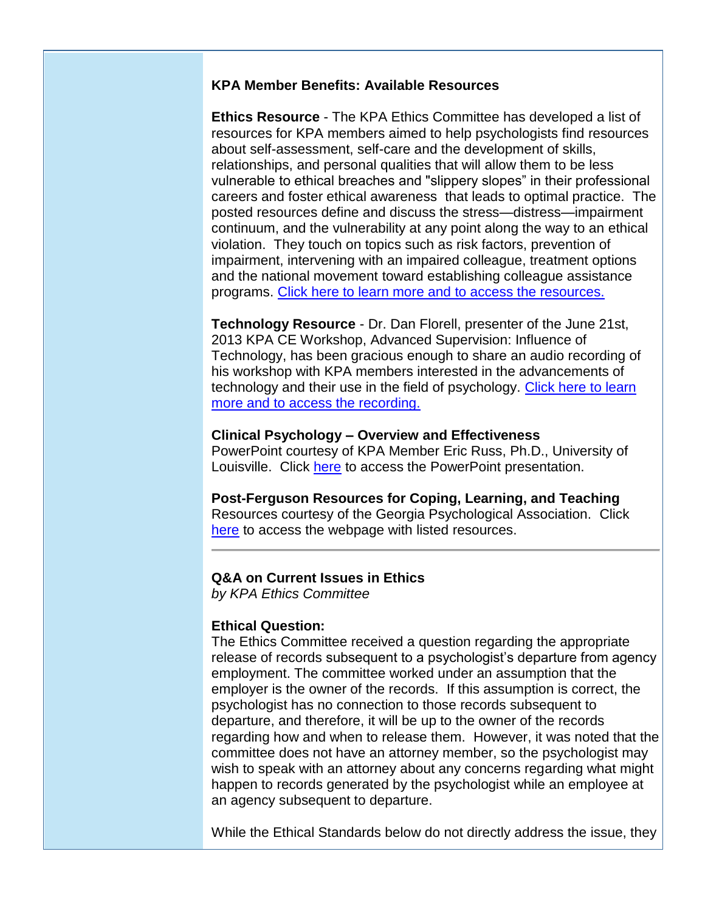# **KPA Member Benefits: Available Resources**

**Ethics Resource** - The KPA Ethics Committee has developed a list of resources for KPA members aimed to help psychologists find resources about self-assessment, self-care and the development of skills, relationships, and personal qualities that will allow them to be less vulnerable to ethical breaches and "slippery slopes" in their professional careers and foster ethical awareness that leads to optimal practice. The posted resources define and discuss the stress—distress—impairment continuum, and the vulnerability at any point along the way to an ethical violation. They touch on topics such as risk factors, prevention of impairment, intervening with an impaired colleague, treatment options and the national movement toward establishing colleague assistance programs. [Click here to learn more and to access the resources.](http://www.kpa.org/link.asp?e=dr.sean.reilley@gmail.com&job=1171413&e=leslie@kpa.org&job=1744677&ymlink=1933434&finalurl=http%3A%2F%2Fwww%2Ekpa%2Eorg%2Fdisplaycommon%2Ecfm%3Fan%3D1%26subarticlenbr%3D655)

**Technology Resource** - Dr. Dan Florell, presenter of the June 21st, 2013 KPA CE Workshop, Advanced Supervision: Influence of Technology, has been gracious enough to share an audio recording of his workshop with KPA members interested in the advancements of technology and their use in the field of psychology. [Click here to learn](http://www.kpa.org/link.asp?e=leslie@kpa.org&job=1744677&ymlink=3271918&finalurl=http%3A%2F%2Fwww%2Ekpa%2Eorg%2Fgeneral%2Fcustom%2Easp%3Fpage%3D666)  [more and to access the recording.](http://www.kpa.org/link.asp?e=leslie@kpa.org&job=1744677&ymlink=3271918&finalurl=http%3A%2F%2Fwww%2Ekpa%2Eorg%2Fgeneral%2Fcustom%2Easp%3Fpage%3D666)

## **Clinical Psychology – Overview and Effectiveness**

PowerPoint courtesy of KPA Member Eric Russ, Ph.D., University of Louisville. Click [here](http://www.kpa.org/link.asp?e=leslie@kpa.org&job=1744677&ymlink=3271918&finalurl=https%3A%2F%2Fdocs%2Egoogle%2Ecom%2Ffile%2Fd%2F0ByIthzAH6E%2DiZ0RidTh0OEVfTkU%2Fedit) to access the PowerPoint presentation.

# **Post-Ferguson Resources for Coping, Learning, and Teaching**

Resources courtesy of the Georgia Psychological Association. Click [here](http://www.kpa.org/link.asp?e=leslie@kpa.org&job=1744677&ymlink=3271918&finalurl=https%3A%2F%2Fgapsychology%2Esite%2Dym%2Ecom%2F%3Fpostferguson) to access the webpage with listed resources.

# **Q&A on Current Issues in Ethics**

*by KPA Ethics Committee*

## **Ethical Question:**

The Ethics Committee received a question regarding the appropriate release of records subsequent to a psychologist's departure from agency employment. The committee worked under an assumption that the employer is the owner of the records. If this assumption is correct, the psychologist has no connection to those records subsequent to departure, and therefore, it will be up to the owner of the records regarding how and when to release them. However, it was noted that the committee does not have an attorney member, so the psychologist may wish to speak with an attorney about any concerns regarding what might happen to records generated by the psychologist while an employee at an agency subsequent to departure.

While the Ethical Standards below do not directly address the issue, they